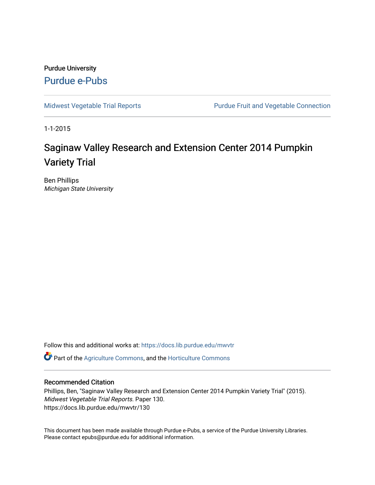Purdue University [Purdue e-Pubs](https://docs.lib.purdue.edu/)

[Midwest Vegetable Trial Reports](https://docs.lib.purdue.edu/mwvtr) **Purdue Fruit and Vegetable Connection** 

1-1-2015

## Saginaw Valley Research and Extension Center 2014 Pumpkin Variety Trial

Ben Phillips Michigan State University

Follow this and additional works at: [https://docs.lib.purdue.edu/mwvtr](https://docs.lib.purdue.edu/mwvtr?utm_source=docs.lib.purdue.edu%2Fmwvtr%2F130&utm_medium=PDF&utm_campaign=PDFCoverPages) 

Part of the [Agriculture Commons](http://network.bepress.com/hgg/discipline/1076?utm_source=docs.lib.purdue.edu%2Fmwvtr%2F130&utm_medium=PDF&utm_campaign=PDFCoverPages), and the [Horticulture Commons](http://network.bepress.com/hgg/discipline/105?utm_source=docs.lib.purdue.edu%2Fmwvtr%2F130&utm_medium=PDF&utm_campaign=PDFCoverPages) 

#### Recommended Citation

Phillips, Ben, "Saginaw Valley Research and Extension Center 2014 Pumpkin Variety Trial" (2015). Midwest Vegetable Trial Reports. Paper 130. https://docs.lib.purdue.edu/mwvtr/130

This document has been made available through Purdue e-Pubs, a service of the Purdue University Libraries. Please contact epubs@purdue.edu for additional information.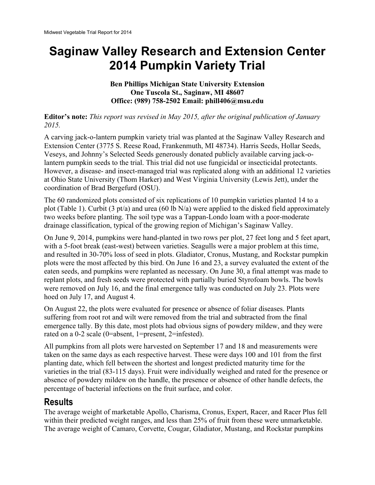# **Saginaw Valley Research and Extension Center 2014 Pumpkin Variety Trial**

#### **Ben Phillips Michigan State University Extension One Tuscola St., Saginaw, MI 48607 Office: (989) 758-2502 Email: [phill406@msu.edu](mailto:phill406@msu.edu)**

**Editor's note:** *This report was revised in May 2015, after the original publication of January 2015.* 

A carving jack-o-lantern pumpkin variety trial was planted at the Saginaw Valley Research and Extension Center (3775 S. Reese Road, Frankenmuth, MI 48734). Harris Seeds, Hollar Seeds, Veseys, and Johnny's Selected Seeds generously donated publicly available carving jack-olantern pumpkin seeds to the trial. This trial did not use fungicidal or insecticidal protectants. However, a disease- and insect-managed trial was replicated along with an additional 12 varieties at Ohio State University (Thom Harker) and West Virginia University (Lewis Jett), under the coordination of Brad Bergefurd (OSU).

The 60 randomized plots consisted of six replications of 10 pumpkin varieties planted 14 to a plot (Table 1). Curbit (3 pt/a) and urea (60 lb N/a) were applied to the disked field approximately two weeks before planting. The soil type was a Tappan-Londo loam with a poor-moderate drainage classification, typical of the growing region of Michigan's Saginaw Valley.

On June 9, 2014, pumpkins were hand-planted in two rows per plot, 27 feet long and 5 feet apart, with a 5-foot break (east-west) between varieties. Seagulls were a major problem at this time, and resulted in 30-70% loss of seed in plots. Gladiator, Cronus, Mustang, and Rockstar pumpkin plots were the most affected by this bird. On June 16 and 23, a survey evaluated the extent of the eaten seeds, and pumpkins were replanted as necessary. On June 30, a final attempt was made to replant plots, and fresh seeds were protected with partially buried Styrofoam bowls. The bowls were removed on July 16, and the final emergence tally was conducted on July 23. Plots were hoed on July 17, and August 4.

On August 22, the plots were evaluated for presence or absence of foliar diseases. Plants suffering from root rot and wilt were removed from the trial and subtracted from the final emergence tally. By this date, most plots had obvious signs of powdery mildew, and they were rated on a 0-2 scale (0=absent, 1=present, 2=infested).

All pumpkins from all plots were harvested on September 17 and 18 and measurements were taken on the same days as each respective harvest. These were days 100 and 101 from the first planting date, which fell between the shortest and longest predicted maturity time for the varieties in the trial (83-115 days). Fruit were individually weighed and rated for the presence or absence of powdery mildew on the handle, the presence or absence of other handle defects, the percentage of bacterial infections on the fruit surface, and color.

## **Results**

The average weight of marketable Apollo, Charisma, Cronus, Expert, Racer, and Racer Plus fell within their predicted weight ranges, and less than 25% of fruit from these were unmarketable. The average weight of Camaro, Corvette, Cougar, Gladiator, Mustang, and Rockstar pumpkins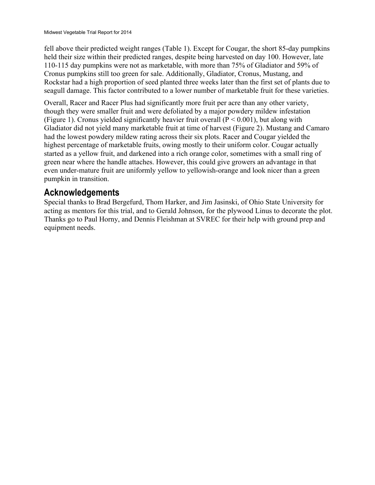fell above their predicted weight ranges (Table 1). Except for Cougar, the short 85-day pumpkins held their size within their predicted ranges, despite being harvested on day 100. However, late 110-115 day pumpkins were not as marketable, with more than 75% of Gladiator and 59% of Cronus pumpkins still too green for sale. Additionally, Gladiator, Cronus, Mustang, and Rockstar had a high proportion of seed planted three weeks later than the first set of plants due to seagull damage. This factor contributed to a lower number of marketable fruit for these varieties.

Overall, Racer and Racer Plus had significantly more fruit per acre than any other variety, though they were smaller fruit and were defoliated by a major powdery mildew infestation (Figure 1). Cronus yielded significantly heavier fruit overall ( $P < 0.001$ ), but along with Gladiator did not yield many marketable fruit at time of harvest (Figure 2). Mustang and Camaro had the lowest powdery mildew rating across their six plots. Racer and Cougar yielded the highest percentage of marketable fruits, owing mostly to their uniform color. Cougar actually started as a yellow fruit, and darkened into a rich orange color, sometimes with a small ring of green near where the handle attaches. However, this could give growers an advantage in that even under-mature fruit are uniformly yellow to yellowish-orange and look nicer than a green pumpkin in transition.

## **Acknowledgements**

Special thanks to Brad Bergefurd, Thom Harker, and Jim Jasinski, of Ohio State University for acting as mentors for this trial, and to Gerald Johnson, for the plywood Linus to decorate the plot. Thanks go to Paul Horny, and Dennis Fleishman at SVREC for their help with ground prep and equipment needs.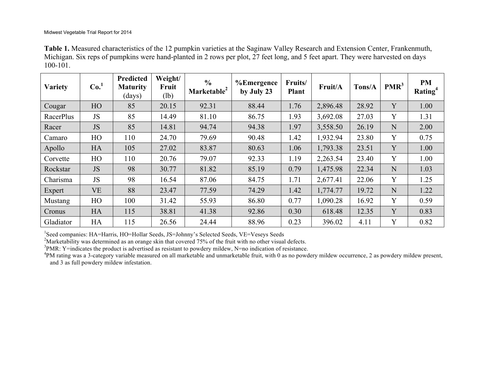| Table 1. Measured characteristics of the 12 pumpkin varieties at the Saginaw Valley Research and Extension Center, Frankenmuth,  |
|----------------------------------------------------------------------------------------------------------------------------------|
| Michigan. Six reps of pumpkins were hand-planted in 2 rows per plot, 27 feet long, and 5 feet apart. They were harvested on days |
| $100 - 101$ .                                                                                                                    |

| Variety        | Co. <sup>1</sup> | Predicted<br><b>Maturity</b><br>(days) | Weight/<br>Fruit<br>(lb) | $\frac{6}{6}$<br>Marketable <sup>2</sup> | %Emergence<br>by July 23 | Fruits/<br><b>Plant</b> | Fruit/A  | Tons/A | PMR <sup>3</sup> | <b>PM</b><br>Rating <sup>4</sup> |
|----------------|------------------|----------------------------------------|--------------------------|------------------------------------------|--------------------------|-------------------------|----------|--------|------------------|----------------------------------|
| Cougar         | HO               | 85                                     | 20.15                    | 92.31                                    | 88.44                    | 1.76                    | 2,896.48 | 28.92  | Y                | 1.00                             |
| RacerPlus      | JS               | 85                                     | 14.49                    | 81.10                                    | 86.75                    | 1.93                    | 3,692.08 | 27.03  | Y                | 1.31                             |
| Racer          | <b>JS</b>        | 85                                     | 14.81                    | 94.74                                    | 94.38                    | 1.97                    | 3,558.50 | 26.19  | N                | 2.00                             |
| Camaro         | HO               | 110                                    | 24.70                    | 79.69                                    | 90.48                    | 1.42                    | 1,932.94 | 23.80  | Y                | 0.75                             |
| Apollo         | <b>HA</b>        | 105                                    | 27.02                    | 83.87                                    | 80.63                    | 1.06                    | 1,793.38 | 23.51  | Y                | 1.00                             |
| Corvette       | HO               | 110                                    | 20.76                    | 79.07                                    | 92.33                    | 1.19                    | 2,263.54 | 23.40  | Y                | 1.00                             |
| Rockstar       | JS               | 98                                     | 30.77                    | 81.82                                    | 85.19                    | 0.79                    | 1,475.98 | 22.34  | N                | 1.03                             |
| Charisma       | <b>JS</b>        | 98                                     | 16.54                    | 87.06                                    | 84.75                    | 1.71                    | 2,677.41 | 22.06  | Y                | 1.25                             |
| Expert         | <b>VE</b>        | 88                                     | 23.47                    | 77.59                                    | 74.29                    | 1.42                    | 1,774.77 | 19.72  | N                | 1.22                             |
| <b>Mustang</b> | HO               | 100                                    | 31.42                    | 55.93                                    | 86.80                    | 0.77                    | 1,090.28 | 16.92  | Y                | 0.59                             |
| Cronus         | <b>HA</b>        | 115                                    | 38.81                    | 41.38                                    | 92.86                    | 0.30                    | 618.48   | 12.35  | Y                | 0.83                             |
| Gladiator      | HA               | 115                                    | 26.56                    | 24.44                                    | 88.96                    | 0.23                    | 396.02   | 4.11   | Y                | 0.82                             |

<sup>1</sup>Seed companies: HA=Harris, HO=Hollar Seeds, JS=Johnny's Selected Seeds, VE=Veseys Seeds<br><sup>2</sup>Marketability was determined as an orange skin that covered 75% of the fruit with no other visual defects.

 $3$ PMR: Y=indicates the product is advertised as resistant to powdery mildew, N=no indication of resistance.

<sup>4</sup>PM rating was a 3-category variable measured on all marketable and unmarketable fruit, with 0 as no powdery mildew occurrence, 2 as powdery mildew present, and 3 as full powdery mildew infestation.